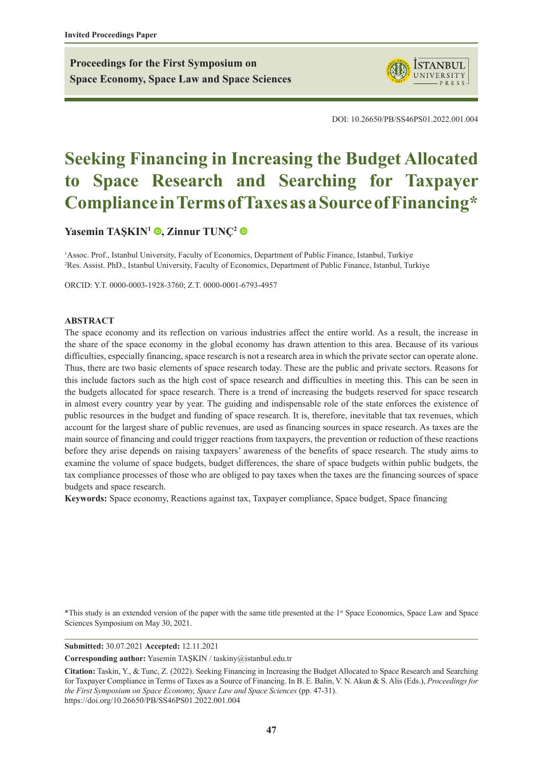**Proceedings for the First Symposium on Space Economy, Space Law and Space Sciences**



DOI: 10.26650/PB/SS46PS01.2022.001.004

# **Seeking Financing in Increasing the Budget Allocated to Space Research and Searching for Taxpayer Compliance in Terms of Taxes as a Source of Financing\***

**[Yasemin TAŞKIN](https://orcid.org/0000-0003-1928-3760)<sup>1</sup> , [Zinnur TUNÇ](https://orcid.org/0000-0001-6793-4957)<sup>2</sup>**

<sup>1</sup>Assoc. Prof., Istanbul University, Faculty of Economics, Department of Public Finance, Istanbul, Turkiye 2 Res. Assist. PhD., Istanbul University, Faculty of Economics, Department of Public Finance, Istanbul, Turkiye

ORCID: Y.T. 0000-0003-1928-3760; Z.T. 0000-0001-6793-4957

#### **ABSTRACT**

The space economy and its reflection on various industries affect the entire world. As a result, the increase in the share of the space economy in the global economy has drawn attention to this area. Because of its various difficulties, especially financing, space research is not a research area in which the private sector can operate alone. Thus, there are two basic elements of space research today. These are the public and private sectors. Reasons for this include factors such as the high cost of space research and difficulties in meeting this. This can be seen in the budgets allocated for space research. There is a trend of increasing the budgets reserved for space research in almost every country year by year. The guiding and indispensable role of the state enforces the existence of public resources in the budget and funding of space research. It is, therefore, inevitable that tax revenues, which account for the largest share of public revenues, are used as financing sources in space research. As taxes are the main source of financing and could trigger reactions from taxpayers, the prevention or reduction of these reactions before they arise depends on raising taxpayers' awareness of the benefits of space research. The study aims to examine the volume of space budgets, budget differences, the share of space budgets within public budgets, the tax compliance processes of those who are obliged to pay taxes when the taxes are the financing sources of space budgets and space research.

**Keywords:** Space economy, Reactions against tax, Taxpayer compliance, Space budget, Space financing

\*This study is an extended version of the paper with the same title presented at the 1st Space Economics, Space Law and Space Sciences Symposium on May 30, 2021.

**Submitted:** 30.07.2021 **Accepted:** 12.11.2021

**Corresponding author:** Yasemin TAŞKIN / taskiny@istanbul.edu.tr

**Citation:** Taskin, Y., & Tunc, Z. (2022). Seeking Financing in Increasing the Budget Allocated to Space Research and Searching for Taxpayer Compliance in Terms of Taxes as a Source of Financing. In B. E. Balin, V. N. Akun & S. Alis (Eds.), *Proceedings for the First Symposium on Space Economy, Space Law and Space Sciences* (pp. 47-31). https://doi.org/10.26650/PB/SS46PS01.2022.001.004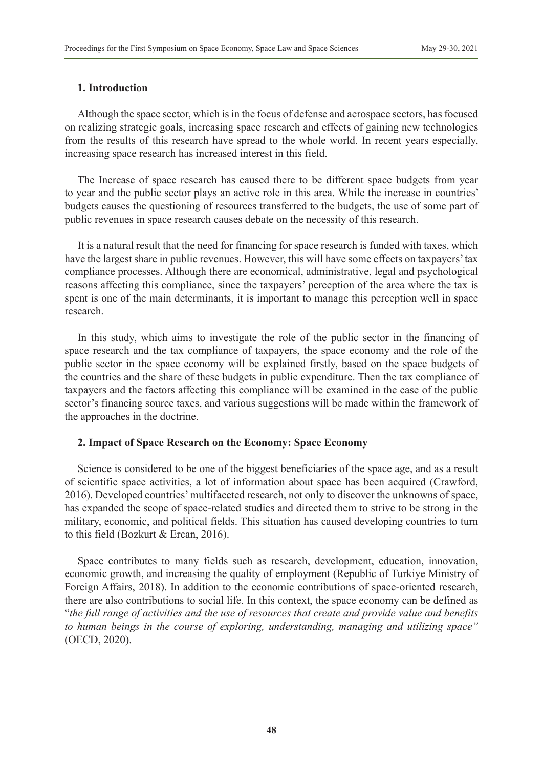# **1. Introduction**

Although the space sector, which is in the focus of defense and aerospace sectors, has focused on realizing strategic goals, increasing space research and effects of gaining new technologies from the results of this research have spread to the whole world. In recent years especially, increasing space research has increased interest in this field.

The Increase of space research has caused there to be different space budgets from year to year and the public sector plays an active role in this area. While the increase in countries' budgets causes the questioning of resources transferred to the budgets, the use of some part of public revenues in space research causes debate on the necessity of this research.

It is a natural result that the need for financing for space research is funded with taxes, which have the largest share in public revenues. However, this will have some effects on taxpayers' tax compliance processes. Although there are economical, administrative, legal and psychological reasons affecting this compliance, since the taxpayers' perception of the area where the tax is spent is one of the main determinants, it is important to manage this perception well in space research.

In this study, which aims to investigate the role of the public sector in the financing of space research and the tax compliance of taxpayers, the space economy and the role of the public sector in the space economy will be explained firstly, based on the space budgets of the countries and the share of these budgets in public expenditure. Then the tax compliance of taxpayers and the factors affecting this compliance will be examined in the case of the public sector's financing source taxes, and various suggestions will be made within the framework of the approaches in the doctrine.

# **2. Impact of Space Research on the Economy: Space Economy**

Science is considered to be one of the biggest beneficiaries of the space age, and as a result of scientific space activities, a lot of information about space has been acquired (Crawford, 2016). Developed countries' multifaceted research, not only to discover the unknowns of space, has expanded the scope of space-related studies and directed them to strive to be strong in the military, economic, and political fields. This situation has caused developing countries to turn to this field (Bozkurt & Ercan, 2016).

Space contributes to many fields such as research, development, education, innovation, economic growth, and increasing the quality of employment (Republic of Turkiye Ministry of Foreign Affairs, 2018). In addition to the economic contributions of space-oriented research, there are also contributions to social life. In this context, the space economy can be defined as "*the full range of activities and the use of resources that create and provide value and benefits to human beings in the course of exploring, understanding, managing and utilizing space"* (OECD, 2020).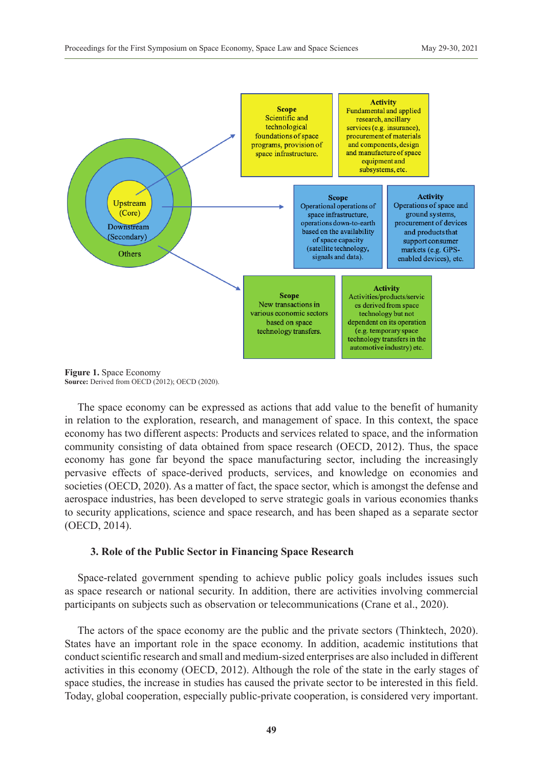

**Figure 1.** Space Economy **Source:** Derived from OECD (2012); OECD (2020).

The space economy can be expressed as actions that add value to the benefit of humanity in relation to the exploration, research, and management of space. In this context, the space economy has two different aspects: Products and services related to space, and the information community consisting of data obtained from space research (OECD, 2012). Thus, the space economy has gone far beyond the space manufacturing sector, including the increasingly pervasive effects of space-derived products, services, and knowledge on economies and societies (OECD, 2020). As a matter of fact, the space sector, which is amongst the defense and aerospace industries, has been developed to serve strategic goals in various economies thanks to security applications, science and space research, and has been shaped as a separate sector (OECD, 2014).

#### **3. Role of the Public Sector in Financing Space Research**

Space-related government spending to achieve public policy goals includes issues such as space research or national security. In addition, there are activities involving commercial participants on subjects such as observation or telecommunications (Crane et al., 2020).

The actors of the space economy are the public and the private sectors (Thinktech, 2020). States have an important role in the space economy. In addition, academic institutions that conduct scientific research and small and medium-sized enterprises are also included in different activities in this economy (OECD, 2012). Although the role of the state in the early stages of space studies, the increase in studies has caused the private sector to be interested in this field. Today, global cooperation, especially public-private cooperation, is considered very important.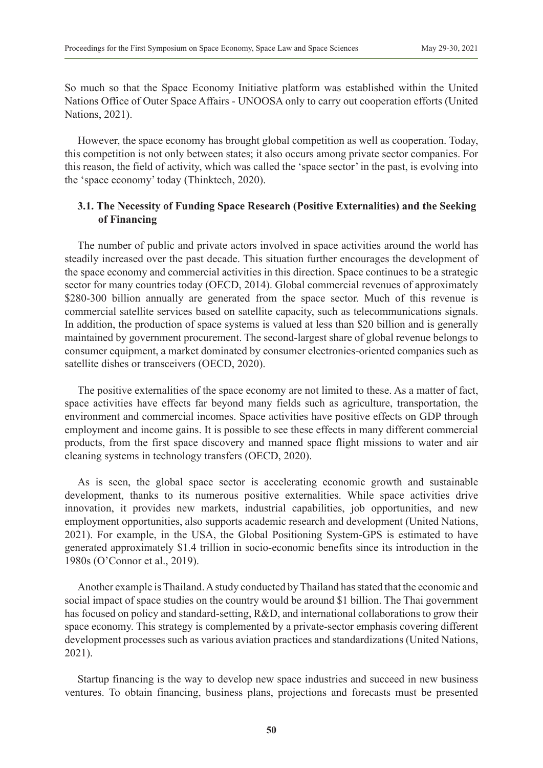So much so that the Space Economy Initiative platform was established within the United Nations Office of Outer Space Affairs - UNOOSA only to carry out cooperation efforts (United Nations, 2021).

However, the space economy has brought global competition as well as cooperation. Today, this competition is not only between states; it also occurs among private sector companies. For this reason, the field of activity, which was called the 'space sector' in the past, is evolving into the 'space economy' today (Thinktech, 2020).

# **3.1. The Necessity of Funding Space Research (Positive Externalities) and the Seeking of Financing**

The number of public and private actors involved in space activities around the world has steadily increased over the past decade. This situation further encourages the development of the space economy and commercial activities in this direction. Space continues to be a strategic sector for many countries today (OECD, 2014). Global commercial revenues of approximately \$280-300 billion annually are generated from the space sector. Much of this revenue is commercial satellite services based on satellite capacity, such as telecommunications signals. In addition, the production of space systems is valued at less than \$20 billion and is generally maintained by government procurement. The second-largest share of global revenue belongs to consumer equipment, a market dominated by consumer electronics-oriented companies such as satellite dishes or transceivers (OECD, 2020).

The positive externalities of the space economy are not limited to these. As a matter of fact, space activities have effects far beyond many fields such as agriculture, transportation, the environment and commercial incomes. Space activities have positive effects on GDP through employment and income gains. It is possible to see these effects in many different commercial products, from the first space discovery and manned space flight missions to water and air cleaning systems in technology transfers (OECD, 2020).

As is seen, the global space sector is accelerating economic growth and sustainable development, thanks to its numerous positive externalities. While space activities drive innovation, it provides new markets, industrial capabilities, job opportunities, and new employment opportunities, also supports academic research and development (United Nations, 2021). For example, in the USA, the Global Positioning System-GPS is estimated to have generated approximately \$1.4 trillion in socio-economic benefits since its introduction in the 1980s (O'Connor et al., 2019).

Another example is Thailand. A study conducted by Thailand has stated that the economic and social impact of space studies on the country would be around \$1 billion. The Thai government has focused on policy and standard-setting, R&D, and international collaborations to grow their space economy. This strategy is complemented by a private-sector emphasis covering different development processes such as various aviation practices and standardizations (United Nations, 2021).

Startup financing is the way to develop new space industries and succeed in new business ventures. To obtain financing, business plans, projections and forecasts must be presented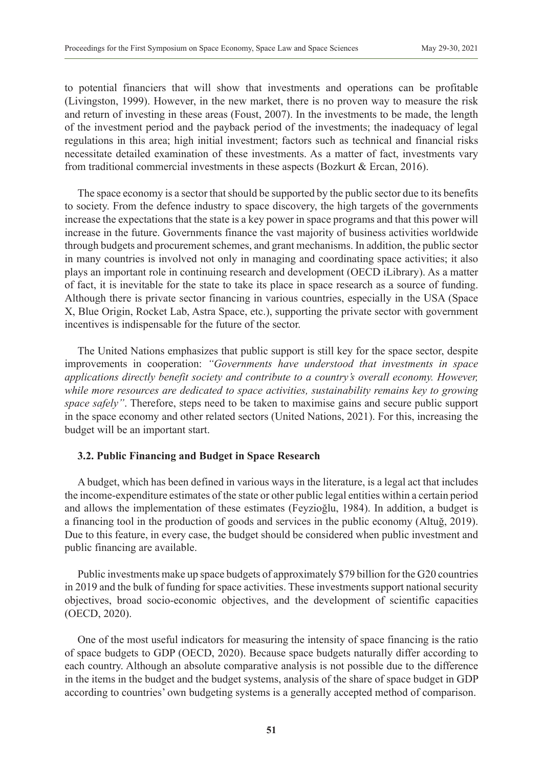to potential financiers that will show that investments and operations can be profitable (Livingston, 1999). However, in the new market, there is no proven way to measure the risk and return of investing in these areas (Foust, 2007). In the investments to be made, the length of the investment period and the payback period of the investments; the inadequacy of legal regulations in this area; high initial investment; factors such as technical and financial risks necessitate detailed examination of these investments. As a matter of fact, investments vary from traditional commercial investments in these aspects (Bozkurt & Ercan, 2016).

The space economy is a sector that should be supported by the public sector due to its benefits to society. From the defence industry to space discovery, the high targets of the governments increase the expectations that the state is a key power in space programs and that this power will increase in the future. Governments finance the vast majority of business activities worldwide through budgets and procurement schemes, and grant mechanisms. In addition, the public sector in many countries is involved not only in managing and coordinating space activities; it also plays an important role in continuing research and development (OECD iLibrary). As a matter of fact, it is inevitable for the state to take its place in space research as a source of funding. Although there is private sector financing in various countries, especially in the USA (Space X, Blue Origin, Rocket Lab, Astra Space, etc.), supporting the private sector with government incentives is indispensable for the future of the sector.

The United Nations emphasizes that public support is still key for the space sector, despite improvements in cooperation: *"Governments have understood that investments in space applications directly benefit society and contribute to a country's overall economy. However, while more resources are dedicated to space activities, sustainability remains key to growing space safely"*. Therefore, steps need to be taken to maximise gains and secure public support in the space economy and other related sectors (United Nations, 2021). For this, increasing the budget will be an important start.

# **3.2. Public Financing and Budget in Space Research**

A budget, which has been defined in various ways in the literature, is a legal act that includes the income-expenditure estimates of the state or other public legal entities within a certain period and allows the implementation of these estimates (Feyzioğlu, 1984). In addition, a budget is a financing tool in the production of goods and services in the public economy (Altuğ, 2019). Due to this feature, in every case, the budget should be considered when public investment and public financing are available.

Public investments make up space budgets of approximately \$79 billion for the G20 countries in 2019 and the bulk of funding for space activities. These investments support national security objectives, broad socio-economic objectives, and the development of scientific capacities (OECD, 2020).

One of the most useful indicators for measuring the intensity of space financing is the ratio of space budgets to GDP (OECD, 2020). Because space budgets naturally differ according to each country. Although an absolute comparative analysis is not possible due to the difference in the items in the budget and the budget systems, analysis of the share of space budget in GDP according to countries' own budgeting systems is a generally accepted method of comparison.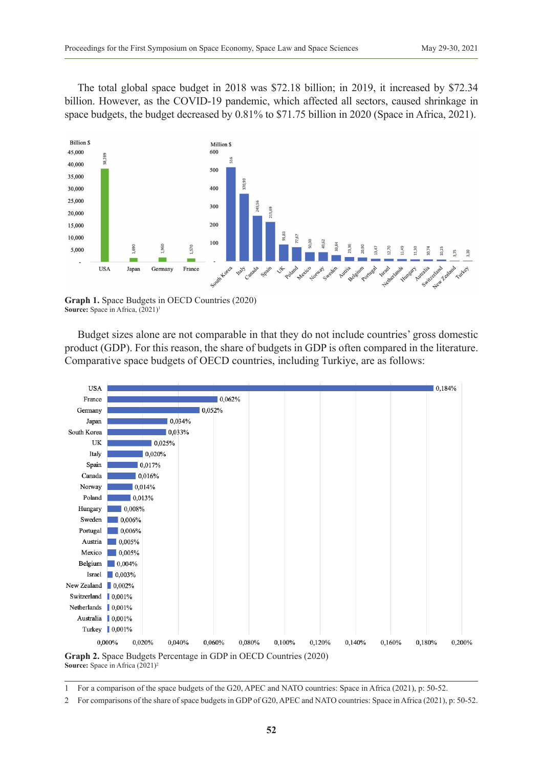The total global space budget in 2018 was \$72.18 billion; in 2019, it increased by \$72.34 billion. However, as the COVID-19 pandemic, which affected all sectors, caused shrinkage in space budgets, the budget decreased by 0.81% to \$71.75 billion in 2020 (Space in Africa, 2021).



**Graph 1.** Space Budgets in OECD Countries (2020) **Source:** Space in Africa,  $(2021)^1$ 

Budget sizes alone are not comparable in that they do not include countries' gross domestic product (GDP). For this reason, the share of budgets in GDP is often compared in the literature. Comparative space budgets of OECD countries, including Turkiye, are as follows:



1 For a comparison of the space budgets of the G20, APEC and NATO countries: Space in Africa (2021), p: 50-52.

<sup>2</sup> For comparisons of the share of space budgets in GDP of G20, APEC and NATO countries: Space in Africa (2021), p: 50-52.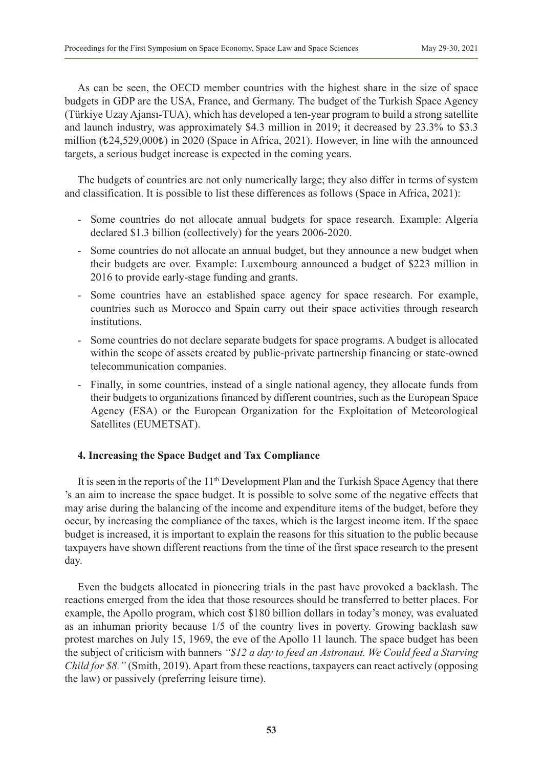As can be seen, the OECD member countries with the highest share in the size of space budgets in GDP are the USA, France, and Germany. The budget of the Turkish Space Agency (Türkiye Uzay Ajansı-TUA), which has developed a ten-year program to build a strong satellite and launch industry, was approximately \$4.3 million in 2019; it decreased by 23.3% to \$3.3 million (₺24,529,000₺) in 2020 (Space in Africa, 2021). However, in line with the announced targets, a serious budget increase is expected in the coming years.

The budgets of countries are not only numerically large; they also differ in terms of system and classification. It is possible to list these differences as follows (Space in Africa, 2021):

- Some countries do not allocate annual budgets for space research. Example: Algeria declared \$1.3 billion (collectively) for the years 2006-2020.
- Some countries do not allocate an annual budget, but they announce a new budget when their budgets are over. Example: Luxembourg announced a budget of \$223 million in 2016 to provide early-stage funding and grants.
- Some countries have an established space agency for space research. For example, countries such as Morocco and Spain carry out their space activities through research institutions.
- Some countries do not declare separate budgets for space programs. A budget is allocated within the scope of assets created by public-private partnership financing or state-owned telecommunication companies.
- Finally, in some countries, instead of a single national agency, they allocate funds from their budgets to organizations financed by different countries, such as the European Space Agency (ESA) or the European Organization for the Exploitation of Meteorological Satellites (EUMETSAT).

# **4. Increasing the Space Budget and Tax Compliance**

It is seen in the reports of the  $11<sup>th</sup>$  Development Plan and the Turkish Space Agency that there 's an aim to increase the space budget. It is possible to solve some of the negative effects that may arise during the balancing of the income and expenditure items of the budget, before they occur, by increasing the compliance of the taxes, which is the largest income item. If the space budget is increased, it is important to explain the reasons for this situation to the public because taxpayers have shown different reactions from the time of the first space research to the present day.

Even the budgets allocated in pioneering trials in the past have provoked a backlash. The reactions emerged from the idea that those resources should be transferred to better places. For example, the Apollo program, which cost \$180 billion dollars in today's money, was evaluated as an inhuman priority because 1/5 of the country lives in poverty. Growing backlash saw protest marches on July 15, 1969, the eve of the Apollo 11 launch. The space budget has been the subject of criticism with banners *"\$12 a day to feed an Astronaut. We Could feed a Starving Child for \$8."* (Smith, 2019). Apart from these reactions, taxpayers can react actively (opposing the law) or passively (preferring leisure time).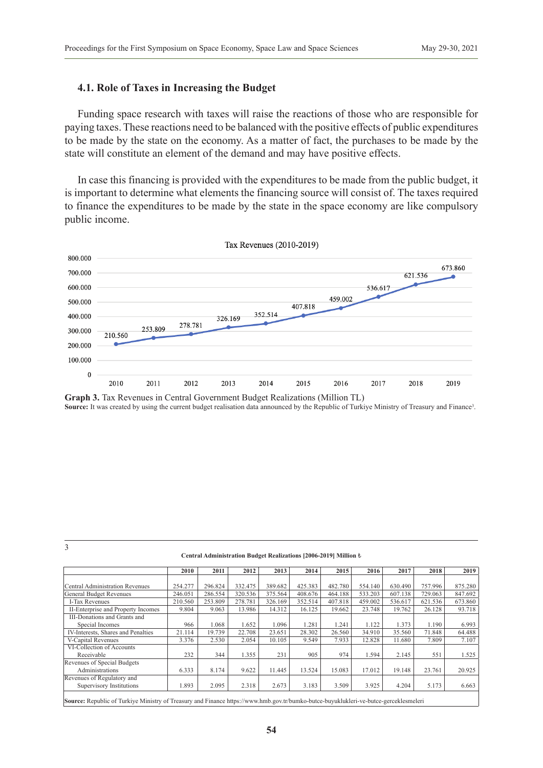### **4.1. Role of Taxes in Increasing the Budget**

Funding space research with taxes will raise the reactions of those who are responsible for paying taxes. These reactions need to be balanced with the positive effects of public expenditures to be made by the state on the economy. As a matter of fact, the purchases to be made by the state will constitute an element of the demand and may have positive effects.

In case this financing is provided with the expenditures to be made from the public budget, it is important to determine what elements the financing source will consist of. The taxes required to finance the expenditures to be made by the state in the space economy are like compulsory public income.



**Graph 3.** Tax Revenues in Central Government Budget Realizations (Million TL) Source: It was created by using the current budget realisation data announced by the Republic of Turkiye Ministry of Treasury and Finance<sup>3</sup>.

3

#### **Central Administration Budget Realizations [2006-2019] Million** ₺

|                                                                                                                                       | 2010    | 2011    | 2012    | 2013    | 2014    | 2015    | 2016    | 2017    | 2018    | 2019    |
|---------------------------------------------------------------------------------------------------------------------------------------|---------|---------|---------|---------|---------|---------|---------|---------|---------|---------|
|                                                                                                                                       |         |         |         |         |         |         |         |         |         |         |
| <b>Central Administration Revenues</b>                                                                                                | 254.277 | 296.824 | 332.475 | 389.682 | 425.383 | 482.780 | 554.140 | 630.490 | 757.996 | 875.280 |
| General Budget Revenues                                                                                                               | 246.051 | 286.554 | 320.536 | 375.564 | 408.676 | 464.188 | 533.203 | 607.138 | 729.063 | 847.692 |
| I-Tax Revenues                                                                                                                        | 210.560 | 253.809 | 278.781 | 326.169 | 352.514 | 407.818 | 459.002 | 536.617 | 621.536 | 673.860 |
| II-Enterprise and Property Incomes                                                                                                    | 9.804   | 9.063   | 13.986  | 14.312  | 16.125  | 19.662  | 23.748  | 19.762  | 26.128  | 93.718  |
| III-Donations and Grants and                                                                                                          |         |         |         |         |         |         |         |         |         |         |
| Special Incomes                                                                                                                       | 966     | 1.068   | 1.652   | 1.096   | 1.281   | 1.241   | 1.122   | 1.373   | 1.190   | 6.993   |
| IV-Interests, Shares and Penalties                                                                                                    | 21.114  | 19.739  | 22.708  | 23.651  | 28.302  | 26.560  | 34.910  | 35.560  | 71.848  | 64.488  |
| V-Capital Revenues                                                                                                                    | 3.376   | 2.530   | 2.054   | 10.105  | 9.549   | 7.933   | 12.828  | 11.680  | 7.809   | 7.107   |
| VI-Collection of Accounts                                                                                                             |         |         |         |         |         |         |         |         |         |         |
| Receivable                                                                                                                            | 232     | 344     | 1.355   | 231     | 905     | 974     | 1.594   | 2.145   | 551     | 1.525   |
| Revenues of Special Budgets                                                                                                           |         |         |         |         |         |         |         |         |         |         |
| Administrations                                                                                                                       | 6.333   | 8.174   | 9.622   | 11.445  | 13.524  | 15.083  | 17.012  | 19.148  | 23.761  | 20.925  |
| Revenues of Regulatory and                                                                                                            |         |         |         |         |         |         |         |         |         |         |
| Supervisory Institutions                                                                                                              | 1.893   | 2.095   | 2.318   | 2.673   | 3.183   | 3.509   | 3.925   | 4.204   | 5.173   | 6.663   |
| Source: Republic of Turkiye Ministry of Treasury and Finance https://www.hmb.gov.tr/bumko-butce-buyuklukleri-ve-butce-gerceklesmeleri |         |         |         |         |         |         |         |         |         |         |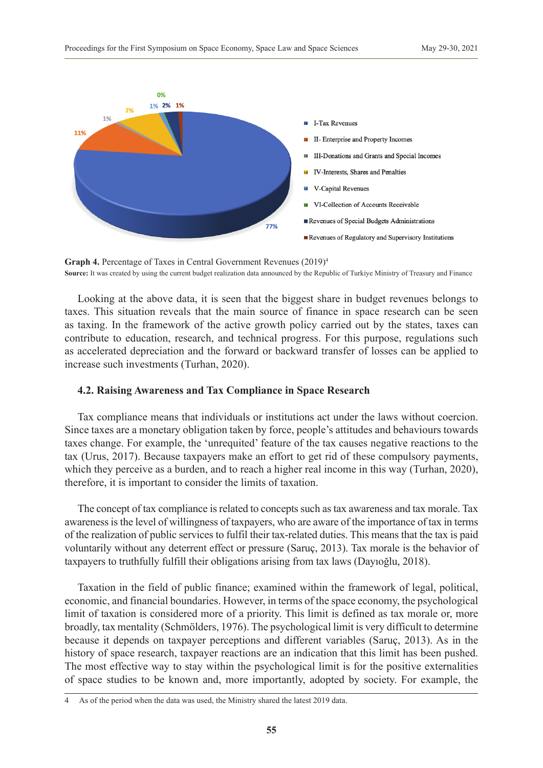

**Graph 4.** Percentage of Taxes in Central Government Revenues (2019)<sup>4</sup> **Source:** It was created by using the current budget realization data announced by the Republic of Turkiye Ministry of Treasury and Finance

Looking at the above data, it is seen that the biggest share in budget revenues belongs to taxes. This situation reveals that the main source of finance in space research can be seen as taxing. In the framework of the active growth policy carried out by the states, taxes can contribute to education, research, and technical progress. For this purpose, regulations such as accelerated depreciation and the forward or backward transfer of losses can be applied to increase such investments (Turhan, 2020).

#### **4.2. Raising Awareness and Tax Compliance in Space Research**

Tax compliance means that individuals or institutions act under the laws without coercion. Since taxes are a monetary obligation taken by force, people's attitudes and behaviours towards taxes change. For example, the 'unrequited' feature of the tax causes negative reactions to the tax (Urus, 2017). Because taxpayers make an effort to get rid of these compulsory payments, which they perceive as a burden, and to reach a higher real income in this way (Turhan, 2020), therefore, it is important to consider the limits of taxation.

The concept of tax compliance is related to concepts such as tax awareness and tax morale. Tax awareness is the level of willingness of taxpayers, who are aware of the importance of tax in terms of the realization of public services to fulfil their tax-related duties. This means that the tax is paid voluntarily without any deterrent effect or pressure (Saruç, 2013). Tax morale is the behavior of taxpayers to truthfully fulfill their obligations arising from tax laws (Dayıoğlu, 2018).

Taxation in the field of public finance; examined within the framework of legal, political, economic, and financial boundaries. However, in terms of the space economy, the psychological limit of taxation is considered more of a priority. This limit is defined as tax morale or, more broadly, tax mentality (Schmölders, 1976). The psychological limit is very difficult to determine because it depends on taxpayer perceptions and different variables (Saruç, 2013). As in the history of space research, taxpayer reactions are an indication that this limit has been pushed. The most effective way to stay within the psychological limit is for the positive externalities of space studies to be known and, more importantly, adopted by society. For example, the

<sup>4</sup> As of the period when the data was used, the Ministry shared the latest 2019 data.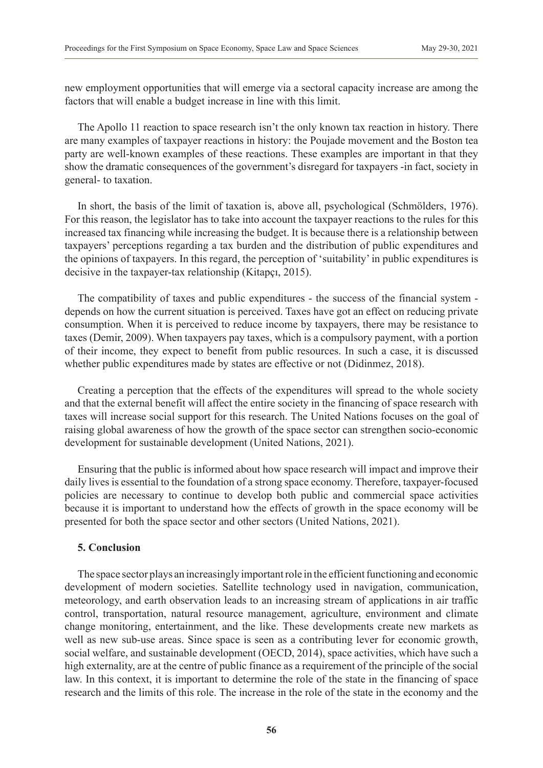new employment opportunities that will emerge via a sectoral capacity increase are among the factors that will enable a budget increase in line with this limit.

The Apollo 11 reaction to space research isn't the only known tax reaction in history. There are many examples of taxpayer reactions in history: the Poujade movement and the Boston tea party are well-known examples of these reactions. These examples are important in that they show the dramatic consequences of the government's disregard for taxpayers -in fact, society in general- to taxation.

In short, the basis of the limit of taxation is, above all, psychological (Schmölders, 1976). For this reason, the legislator has to take into account the taxpayer reactions to the rules for this increased tax financing while increasing the budget. It is because there is a relationship between taxpayers' perceptions regarding a tax burden and the distribution of public expenditures and the opinions of taxpayers. In this regard, the perception of 'suitability' in public expenditures is decisive in the taxpayer-tax relationship (Kitapçı, 2015).

The compatibility of taxes and public expenditures - the success of the financial system depends on how the current situation is perceived. Taxes have got an effect on reducing private consumption. When it is perceived to reduce income by taxpayers, there may be resistance to taxes (Demir, 2009). When taxpayers pay taxes, which is a compulsory payment, with a portion of their income, they expect to benefit from public resources. In such a case, it is discussed whether public expenditures made by states are effective or not (Didinmez, 2018).

Creating a perception that the effects of the expenditures will spread to the whole society and that the external benefit will affect the entire society in the financing of space research with taxes will increase social support for this research. The United Nations focuses on the goal of raising global awareness of how the growth of the space sector can strengthen socio-economic development for sustainable development (United Nations, 2021).

Ensuring that the public is informed about how space research will impact and improve their daily lives is essential to the foundation of a strong space economy. Therefore, taxpayer-focused policies are necessary to continue to develop both public and commercial space activities because it is important to understand how the effects of growth in the space economy will be presented for both the space sector and other sectors (United Nations, 2021).

#### **5. Conclusion**

The space sector plays an increasingly important role in the efficient functioning and economic development of modern societies. Satellite technology used in navigation, communication, meteorology, and earth observation leads to an increasing stream of applications in air traffic control, transportation, natural resource management, agriculture, environment and climate change monitoring, entertainment, and the like. These developments create new markets as well as new sub-use areas. Since space is seen as a contributing lever for economic growth, social welfare, and sustainable development (OECD, 2014), space activities, which have such a high externality, are at the centre of public finance as a requirement of the principle of the social law. In this context, it is important to determine the role of the state in the financing of space research and the limits of this role. The increase in the role of the state in the economy and the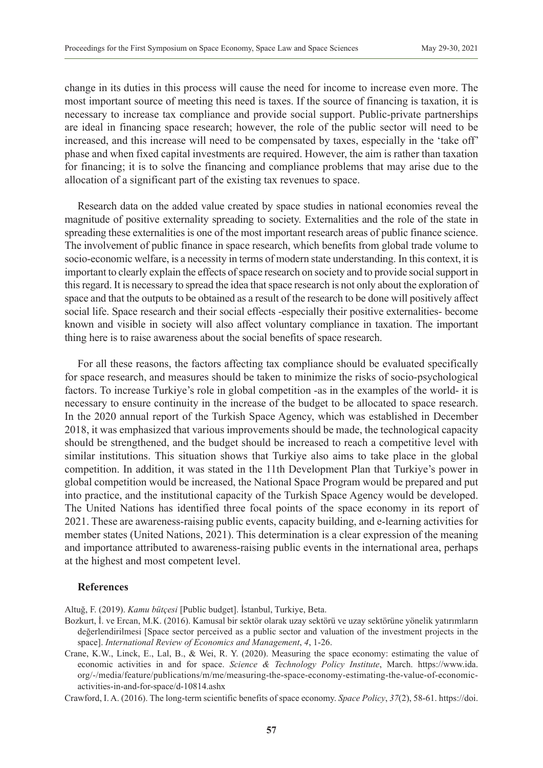change in its duties in this process will cause the need for income to increase even more. The most important source of meeting this need is taxes. If the source of financing is taxation, it is necessary to increase tax compliance and provide social support. Public-private partnerships are ideal in financing space research; however, the role of the public sector will need to be increased, and this increase will need to be compensated by taxes, especially in the 'take off' phase and when fixed capital investments are required. However, the aim is rather than taxation for financing; it is to solve the financing and compliance problems that may arise due to the allocation of a significant part of the existing tax revenues to space.

Research data on the added value created by space studies in national economies reveal the magnitude of positive externality spreading to society. Externalities and the role of the state in spreading these externalities is one of the most important research areas of public finance science. The involvement of public finance in space research, which benefits from global trade volume to socio-economic welfare, is a necessity in terms of modern state understanding. In this context, it is important to clearly explain the effects of space research on society and to provide social support in this regard. It is necessary to spread the idea that space research is not only about the exploration of space and that the outputs to be obtained as a result of the research to be done will positively affect social life. Space research and their social effects -especially their positive externalities- become known and visible in society will also affect voluntary compliance in taxation. The important thing here is to raise awareness about the social benefits of space research.

For all these reasons, the factors affecting tax compliance should be evaluated specifically for space research, and measures should be taken to minimize the risks of socio-psychological factors. To increase Turkiye's role in global competition -as in the examples of the world- it is necessary to ensure continuity in the increase of the budget to be allocated to space research. In the 2020 annual report of the Turkish Space Agency, which was established in December 2018, it was emphasized that various improvements should be made, the technological capacity should be strengthened, and the budget should be increased to reach a competitive level with similar institutions. This situation shows that Turkiye also aims to take place in the global competition. In addition, it was stated in the 11th Development Plan that Turkiye's power in global competition would be increased, the National Space Program would be prepared and put into practice, and the institutional capacity of the Turkish Space Agency would be developed. The United Nations has identified three focal points of the space economy in its report of 2021. These are awareness-raising public events, capacity building, and e-learning activities for member states (United Nations, 2021). This determination is a clear expression of the meaning and importance attributed to awareness-raising public events in the international area, perhaps at the highest and most competent level.

#### **References**

Altuğ, F. (2019). *Kamu bütçesi* [Public budget]. İstanbul, Turkiye, Beta.

- Bozkurt, İ. ve Ercan, M.K. (2016). Kamusal bir sektör olarak uzay sektörü ve uzay sektörüne yönelik yatırımların değerlendirilmesi [Space sector perceived as a public sector and valuation of the investment projects in the space]. *International Review of Economics and Management*, *4*, 1-26.
- Crane, K.W., Linck, E., Lal, B., & Wei, R. Y. (2020). Measuring the space economy: estimating the value of economic activities in and for space. *Science & Technology Policy Institute*, March. [https://www.ida.](https://www.ida.org/-/media/feature/publications/m/me/measuring-the-space-economy-estimating-the-value-of-economic-activities-in-and-for-space/d-10814.ashx) [org/-/media/feature/publications/m/me/measuring-the-space-economy-estimating-the-value-of-economic](https://www.ida.org/-/media/feature/publications/m/me/measuring-the-space-economy-estimating-the-value-of-economic-activities-in-and-for-space/d-10814.ashx)[activities-in-and-for-space/d-10814.ashx](https://www.ida.org/-/media/feature/publications/m/me/measuring-the-space-economy-estimating-the-value-of-economic-activities-in-and-for-space/d-10814.ashx)
- Crawford, I. A. (2016). The long-term scientific benefits of space economy. *Space Policy*, *37*(2), 58-61. [https://doi.](https://doi.org/10.1016/j.spacepol.2016.07.003)